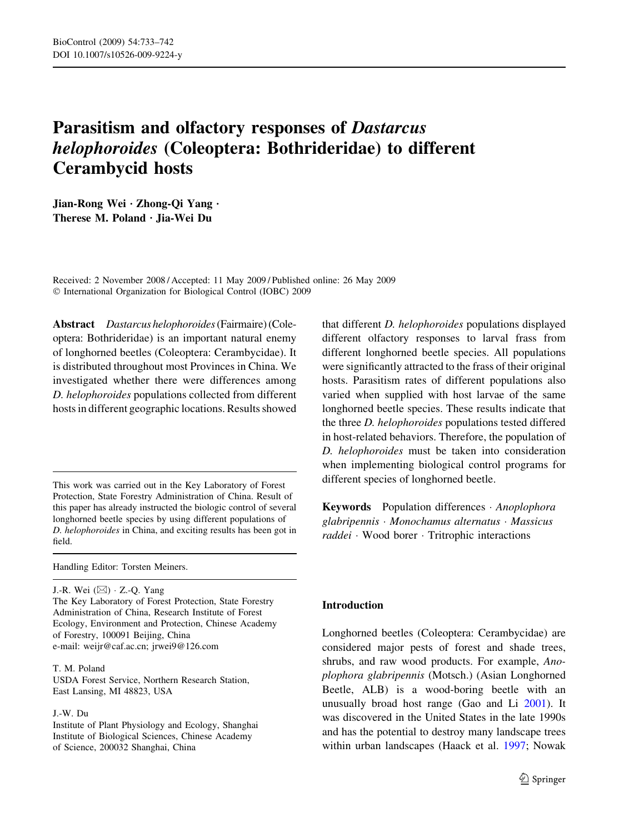# Parasitism and olfactory responses of Dastarcus helophoroides (Coleoptera: Bothrideridae) to different Cerambycid hosts

Jian-Rong Wei · Zhong-Qi Yang · Therese M. Poland  $\cdot$  Jia-Wei Du

Received: 2 November 2008 / Accepted: 11 May 2009 / Published online: 26 May 2009 International Organization for Biological Control (IOBC) 2009

Abstract Dastarcus helophoroides(Fairmaire) (Coleoptera: Bothrideridae) is an important natural enemy of longhorned beetles (Coleoptera: Cerambycidae). It is distributed throughout most Provinces in China. We investigated whether there were differences among D. helophoroides populations collected from different hosts in different geographic locations. Results showed

This work was carried out in the Key Laboratory of Forest Protection, State Forestry Administration of China. Result of this paper has already instructed the biologic control of several longhorned beetle species by using different populations of D. helophoroides in China, and exciting results has been got in field.

Handling Editor: Torsten Meiners.

J.-R. Wei  $(\boxtimes) \cdot Z$ .-Q. Yang The Key Laboratory of Forest Protection, State Forestry Administration of China, Research Institute of Forest Ecology, Environment and Protection, Chinese Academy of Forestry, 100091 Beijing, China e-mail: weijr@caf.ac.cn; jrwei9@126.com

#### T. M. Poland

USDA Forest Service, Northern Research Station, East Lansing, MI 48823, USA

#### J.-W. Du

Institute of Plant Physiology and Ecology, Shanghai Institute of Biological Sciences, Chinese Academy of Science, 200032 Shanghai, China

that different D. helophoroides populations displayed different olfactory responses to larval frass from different longhorned beetle species. All populations were significantly attracted to the frass of their original hosts. Parasitism rates of different populations also varied when supplied with host larvae of the same longhorned beetle species. These results indicate that the three D. helophoroides populations tested differed in host-related behaviors. Therefore, the population of D. helophoroides must be taken into consideration when implementing biological control programs for different species of longhorned beetle.

Keywords Population differences · Anoplophora  $glabripennis \cdot Monochamus\ alternatus \cdot Massicus$  $raddei \cdot Wood$  borer  $\cdot$  Tritrophic interactions

# Introduction

Longhorned beetles (Coleoptera: Cerambycidae) are considered major pests of forest and shade trees, shrubs, and raw wood products. For example, Anoplophora glabripennis (Motsch.) (Asian Longhorned Beetle, ALB) is a wood-boring beetle with an unusually broad host range (Gao and Li [2001](#page-8-0)). It was discovered in the United States in the late 1990s and has the potential to destroy many landscape trees within urban landscapes (Haack et al. [1997;](#page-8-0) Nowak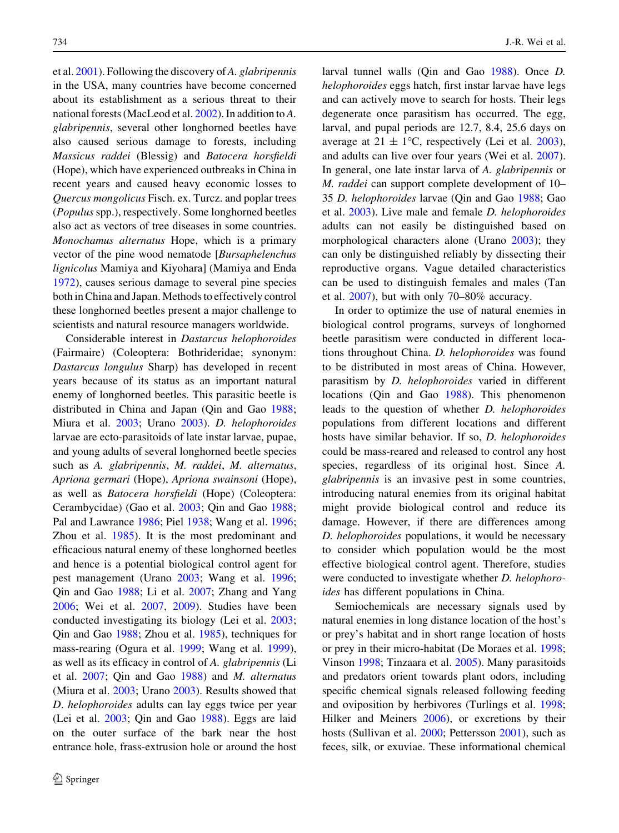et al. [2001](#page-8-0)). Following the discovery of A. glabripennis in the USA, many countries have become concerned about its establishment as a serious threat to their national forests (MacLeod et al. [2002](#page-8-0)). In addition to A. glabripennis, several other longhorned beetles have also caused serious damage to forests, including Massicus raddei (Blessig) and Batocera horsfieldi (Hope), which have experienced outbreaks in China in recent years and caused heavy economic losses to Quercus mongolicus Fisch. ex. Turcz. and poplar trees (Populus spp.), respectively. Some longhorned beetles also act as vectors of tree diseases in some countries. Monochamus alternatus Hope, which is a primary vector of the pine wood nematode [Bursaphelenchus lignicolus Mamiya and Kiyohara] (Mamiya and Enda [1972\)](#page-8-0), causes serious damage to several pine species both in China and Japan. Methods to effectively control these longhorned beetles present a major challenge to scientists and natural resource managers worldwide.

Considerable interest in Dastarcus helophoroides (Fairmaire) (Coleoptera: Bothrideridae; synonym: Dastarcus longulus Sharp) has developed in recent years because of its status as an important natural enemy of longhorned beetles. This parasitic beetle is distributed in China and Japan (Qin and Gao [1988](#page-8-0); Miura et al. [2003;](#page-8-0) Urano [2003\)](#page-9-0). D. helophoroides larvae are ecto-parasitoids of late instar larvae, pupae, and young adults of several longhorned beetle species such as A. glabripennis, M. raddei, M. alternatus, Apriona germari (Hope), Apriona swainsoni (Hope), as well as Batocera horsfieldi (Hope) (Coleoptera: Cerambycidae) (Gao et al. [2003;](#page-8-0) Qin and Gao [1988](#page-8-0); Pal and Lawrance [1986](#page-8-0); Piel [1938](#page-8-0); Wang et al. [1996](#page-9-0); Zhou et al. [1985\)](#page-9-0). It is the most predominant and efficacious natural enemy of these longhorned beetles and hence is a potential biological control agent for pest management (Urano [2003;](#page-9-0) Wang et al. [1996](#page-9-0); Qin and Gao [1988;](#page-8-0) Li et al. [2007;](#page-8-0) Zhang and Yang [2006;](#page-9-0) Wei et al. [2007,](#page-9-0) [2009\)](#page-9-0). Studies have been conducted investigating its biology (Lei et al. [2003](#page-8-0); Qin and Gao [1988](#page-8-0); Zhou et al. [1985\)](#page-9-0), techniques for mass-rearing (Ogura et al. [1999](#page-8-0); Wang et al. [1999](#page-9-0)), as well as its efficacy in control of A. glabripennis (Li et al. [2007;](#page-8-0) Qin and Gao [1988\)](#page-8-0) and M. alternatus (Miura et al. [2003;](#page-8-0) Urano [2003](#page-9-0)). Results showed that D. helophoroides adults can lay eggs twice per year (Lei et al. [2003](#page-8-0); Qin and Gao [1988](#page-8-0)). Eggs are laid on the outer surface of the bark near the host entrance hole, frass-extrusion hole or around the host larval tunnel walls (Qin and Gao [1988\)](#page-8-0). Once D. helophoroides eggs hatch, first instar larvae have legs and can actively move to search for hosts. Their legs degenerate once parasitism has occurred. The egg, larval, and pupal periods are 12.7, 8.4, 25.6 days on average at  $21 \pm 1$ °C, respectively (Lei et al. [2003](#page-8-0)), and adults can live over four years (Wei et al. [2007](#page-9-0)). In general, one late instar larva of A. glabripennis or M. raddei can support complete development of 10– 35 D. helophoroides larvae (Qin and Gao [1988;](#page-8-0) Gao et al. [2003](#page-8-0)). Live male and female D. helophoroides adults can not easily be distinguished based on morphological characters alone (Urano [2003](#page-9-0)); they can only be distinguished reliably by dissecting their reproductive organs. Vague detailed characteristics can be used to distinguish females and males (Tan et al. [2007\)](#page-8-0), but with only 70–80% accuracy.

In order to optimize the use of natural enemies in biological control programs, surveys of longhorned beetle parasitism were conducted in different locations throughout China. D. helophoroides was found to be distributed in most areas of China. However, parasitism by D. helophoroides varied in different locations (Qin and Gao [1988\)](#page-8-0). This phenomenon leads to the question of whether D. helophoroides populations from different locations and different hosts have similar behavior. If so, D. helophoroides could be mass-reared and released to control any host species, regardless of its original host. Since A. glabripennis is an invasive pest in some countries, introducing natural enemies from its original habitat might provide biological control and reduce its damage. However, if there are differences among D. helophoroides populations, it would be necessary to consider which population would be the most effective biological control agent. Therefore, studies were conducted to investigate whether D. helophoroides has different populations in China.

Semiochemicals are necessary signals used by natural enemies in long distance location of the host's or prey's habitat and in short range location of hosts or prey in their micro-habitat (De Moraes et al. [1998](#page-8-0); Vinson [1998](#page-9-0); Tinzaara et al. [2005](#page-8-0)). Many parasitoids and predators orient towards plant odors, including specific chemical signals released following feeding and oviposition by herbivores (Turlings et al. [1998](#page-8-0); Hilker and Meiners [2006](#page-8-0)), or excretions by their hosts (Sullivan et al. [2000;](#page-8-0) Pettersson [2001\)](#page-8-0), such as feces, silk, or exuviae. These informational chemical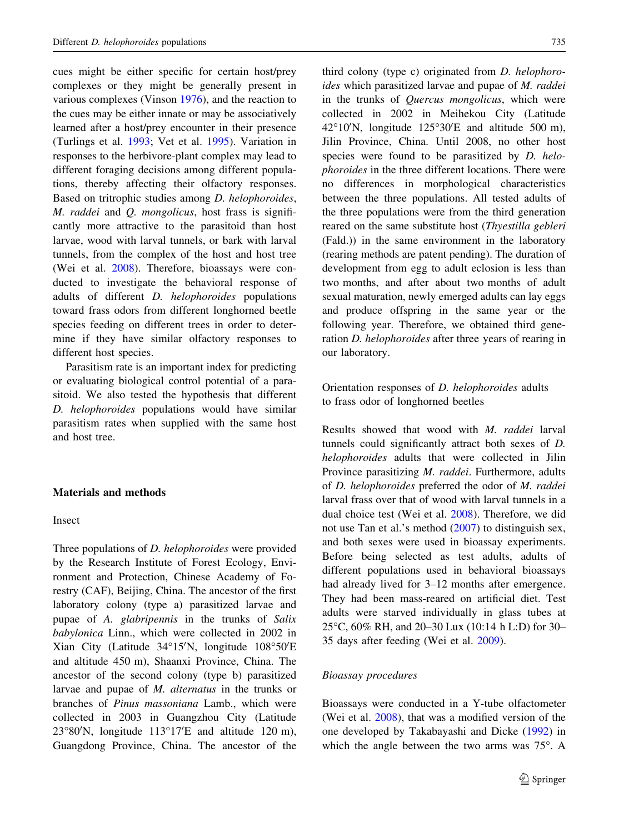cues might be either specific for certain host/prey complexes or they might be generally present in various complexes (Vinson [1976](#page-9-0)), and the reaction to the cues may be either innate or may be associatively learned after a host/prey encounter in their presence (Turlings et al. [1993;](#page-8-0) Vet et al. [1995\)](#page-9-0). Variation in responses to the herbivore-plant complex may lead to different foraging decisions among different populations, thereby affecting their olfactory responses. Based on tritrophic studies among D. helophoroides, M. raddei and Q. mongolicus, host frass is significantly more attractive to the parasitoid than host larvae, wood with larval tunnels, or bark with larval tunnels, from the complex of the host and host tree (Wei et al. [2008\)](#page-9-0). Therefore, bioassays were conducted to investigate the behavioral response of adults of different D. helophoroides populations toward frass odors from different longhorned beetle species feeding on different trees in order to determine if they have similar olfactory responses to different host species.

Parasitism rate is an important index for predicting or evaluating biological control potential of a parasitoid. We also tested the hypothesis that different D. helophoroides populations would have similar parasitism rates when supplied with the same host and host tree.

## Materials and methods

## Insect

Three populations of *D. helophoroides* were provided by the Research Institute of Forest Ecology, Environment and Protection, Chinese Academy of Forestry (CAF), Beijing, China. The ancestor of the first laboratory colony (type a) parasitized larvae and pupae of A. glabripennis in the trunks of Salix babylonica Linn., which were collected in 2002 in Xian City (Latitude 34°15'N, longitude 108°50'E and altitude 450 m), Shaanxi Province, China. The ancestor of the second colony (type b) parasitized larvae and pupae of M. alternatus in the trunks or branches of Pinus massoniana Lamb., which were collected in 2003 in Guangzhou City (Latitude  $23^{\circ}80'$ N, longitude  $113^{\circ}17'E$  and altitude 120 m), Guangdong Province, China. The ancestor of the third colony (type c) originated from D. helophoroides which parasitized larvae and pupae of M. raddei in the trunks of Quercus mongolicus, which were collected in 2002 in Meihekou City (Latitude  $42^{\circ}10^{\prime}$ N, longitude  $125^{\circ}30^{\prime}$ E and altitude 500 m), Jilin Province, China. Until 2008, no other host species were found to be parasitized by D. helophoroides in the three different locations. There were no differences in morphological characteristics between the three populations. All tested adults of the three populations were from the third generation reared on the same substitute host (Thyestilla gebleri (Fald.)) in the same environment in the laboratory (rearing methods are patent pending). The duration of development from egg to adult eclosion is less than two months, and after about two months of adult sexual maturation, newly emerged adults can lay eggs and produce offspring in the same year or the following year. Therefore, we obtained third generation D. helophoroides after three years of rearing in our laboratory.

Orientation responses of D. helophoroides adults to frass odor of longhorned beetles

Results showed that wood with M. raddei larval tunnels could significantly attract both sexes of D. helophoroides adults that were collected in Jilin Province parasitizing M. raddei. Furthermore, adults of D. helophoroides preferred the odor of M. raddei larval frass over that of wood with larval tunnels in a dual choice test (Wei et al. [2008\)](#page-9-0). Therefore, we did not use Tan et al.'s method [\(2007](#page-8-0)) to distinguish sex, and both sexes were used in bioassay experiments. Before being selected as test adults, adults of different populations used in behavioral bioassays had already lived for 3–12 months after emergence. They had been mass-reared on artificial diet. Test adults were starved individually in glass tubes at 25-C, 60% RH, and 20–30 Lux (10:14 h L:D) for 30– 35 days after feeding (Wei et al. [2009\)](#page-9-0).

## Bioassay procedures

Bioassays were conducted in a Y-tube olfactometer (Wei et al. [2008\)](#page-9-0), that was a modified version of the one developed by Takabayashi and Dicke [\(1992](#page-8-0)) in which the angle between the two arms was  $75^\circ$ . A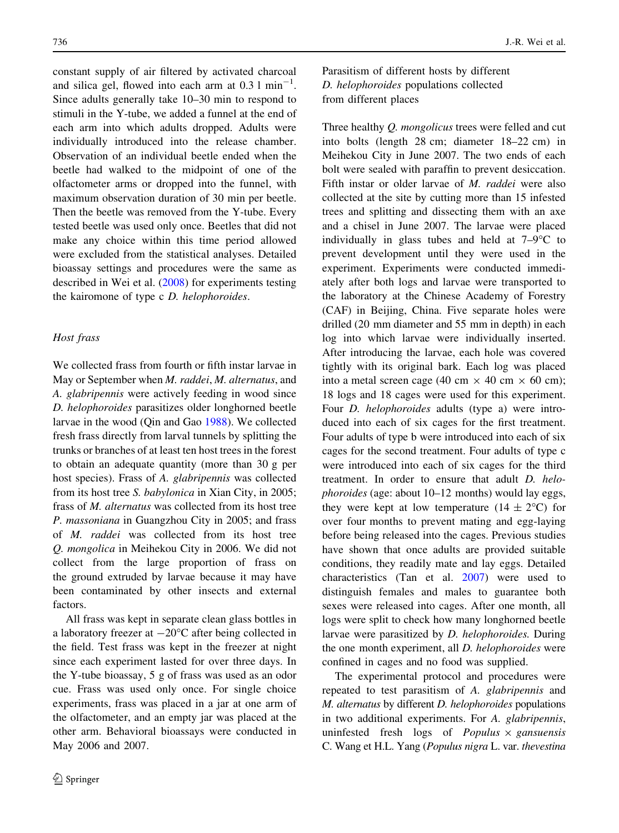constant supply of air filtered by activated charcoal and silica gel, flowed into each arm at  $0.31 \text{ min}^{-1}$ . Since adults generally take 10–30 min to respond to stimuli in the Y-tube, we added a funnel at the end of each arm into which adults dropped. Adults were individually introduced into the release chamber. Observation of an individual beetle ended when the beetle had walked to the midpoint of one of the olfactometer arms or dropped into the funnel, with maximum observation duration of 30 min per beetle. Then the beetle was removed from the Y-tube. Every tested beetle was used only once. Beetles that did not make any choice within this time period allowed were excluded from the statistical analyses. Detailed bioassay settings and procedures were the same as described in Wei et al. [\(2008](#page-9-0)) for experiments testing the kairomone of type c D. helophoroides.

## Host frass

We collected frass from fourth or fifth instar larvae in May or September when *M. raddei, M. alternatus*, and A. glabripennis were actively feeding in wood since D. helophoroides parasitizes older longhorned beetle larvae in the wood (Qin and Gao [1988\)](#page-8-0). We collected fresh frass directly from larval tunnels by splitting the trunks or branches of at least ten host trees in the forest to obtain an adequate quantity (more than 30 g per host species). Frass of A. glabripennis was collected from its host tree S. babylonica in Xian City, in 2005; frass of M. alternatus was collected from its host tree P. massoniana in Guangzhou City in 2005; and frass of M. raddei was collected from its host tree Q. mongolica in Meihekou City in 2006. We did not collect from the large proportion of frass on the ground extruded by larvae because it may have been contaminated by other insects and external factors.

All frass was kept in separate clean glass bottles in a laboratory freezer at  $-20^{\circ}$ C after being collected in the field. Test frass was kept in the freezer at night since each experiment lasted for over three days. In the Y-tube bioassay, 5 g of frass was used as an odor cue. Frass was used only once. For single choice experiments, frass was placed in a jar at one arm of the olfactometer, and an empty jar was placed at the other arm. Behavioral bioassays were conducted in May 2006 and 2007.

Parasitism of different hosts by different D. helophoroides populations collected from different places

Three healthy Q. mongolicus trees were felled and cut into bolts (length 28 cm; diameter 18–22 cm) in Meihekou City in June 2007. The two ends of each bolt were sealed with paraffin to prevent desiccation. Fifth instar or older larvae of *M. raddei* were also collected at the site by cutting more than 15 infested trees and splitting and dissecting them with an axe and a chisel in June 2007. The larvae were placed individually in glass tubes and held at  $7-9$ <sup>o</sup>C to prevent development until they were used in the experiment. Experiments were conducted immediately after both logs and larvae were transported to the laboratory at the Chinese Academy of Forestry (CAF) in Beijing, China. Five separate holes were drilled (20 mm diameter and 55 mm in depth) in each log into which larvae were individually inserted. After introducing the larvae, each hole was covered tightly with its original bark. Each log was placed into a metal screen cage (40 cm  $\times$  40 cm  $\times$  60 cm); 18 logs and 18 cages were used for this experiment. Four *D. helophoroides* adults (type a) were introduced into each of six cages for the first treatment. Four adults of type b were introduced into each of six cages for the second treatment. Four adults of type c were introduced into each of six cages for the third treatment. In order to ensure that adult D. helophoroides (age: about 10–12 months) would lay eggs, they were kept at low temperature  $(14 \pm 2^{\circ}\text{C})$  for over four months to prevent mating and egg-laying before being released into the cages. Previous studies have shown that once adults are provided suitable conditions, they readily mate and lay eggs. Detailed characteristics (Tan et al. [2007\)](#page-8-0) were used to distinguish females and males to guarantee both sexes were released into cages. After one month, all logs were split to check how many longhorned beetle larvae were parasitized by D. helophoroides. During the one month experiment, all D. helophoroides were confined in cages and no food was supplied.

The experimental protocol and procedures were repeated to test parasitism of A. glabripennis and M. alternatus by different D. helophoroides populations in two additional experiments. For A. glabripennis, uninfested fresh logs of *Populus*  $\times$  *gansuensis* C. Wang et H.L. Yang (Populus nigra L. var. thevestina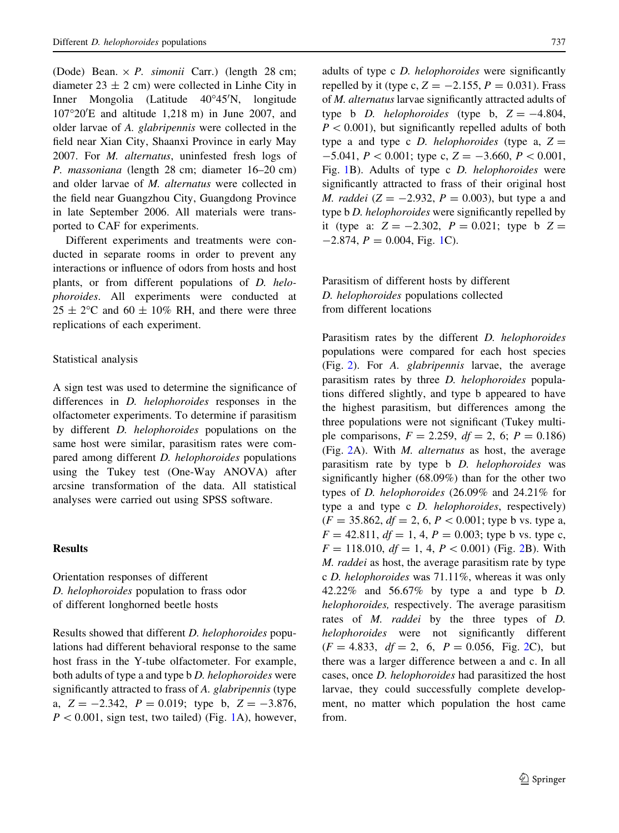(Dode) Bean.  $\times$  *P. simonii* Carr.) (length 28 cm; diameter  $23 \pm 2$  cm) were collected in Linhe City in Inner Mongolia (Latitude 40°45'N, longitude  $107^{\circ}20'E$  and altitude 1,218 m) in June 2007, and older larvae of A. glabripennis were collected in the field near Xian City, Shaanxi Province in early May 2007. For M. alternatus, uninfested fresh logs of P. massoniana (length 28 cm; diameter 16–20 cm) and older larvae of M. alternatus were collected in the field near Guangzhou City, Guangdong Province in late September 2006. All materials were transported to CAF for experiments.

Different experiments and treatments were conducted in separate rooms in order to prevent any interactions or influence of odors from hosts and host plants, or from different populations of D. helophoroides. All experiments were conducted at  $25 \pm 2$ °C and  $60 \pm 10\%$  RH, and there were three replications of each experiment.

#### Statistical analysis

A sign test was used to determine the significance of differences in D. helophoroides responses in the olfactometer experiments. To determine if parasitism by different D. helophoroides populations on the same host were similar, parasitism rates were compared among different D. helophoroides populations using the Tukey test (One-Way ANOVA) after arcsine transformation of the data. All statistical analyses were carried out using SPSS software.

#### Results

Orientation responses of different D. helophoroides population to frass odor of different longhorned beetle hosts

Results showed that different D. helophoroides populations had different behavioral response to the same host frass in the Y-tube olfactometer. For example, both adults of type a and type b D. helophoroides were significantly attracted to frass of A. glabripennis (type a,  $Z = -2.342$ ,  $P = 0.019$ ; type b,  $Z = -3.876$ ,  $P < 0.001$ , sign test, two tailed) (Fig. [1A](#page-5-0)), however, adults of type c D. helophoroides were significantly repelled by it (type c,  $Z = -2.155$ ,  $P = 0.031$ ). Frass of M. alternatus larvae significantly attracted adults of type b D. helophoroides (type b,  $Z = -4.804$ ,  $P < 0.001$ ), but significantly repelled adults of both type a and type c D. helophoroides (type a,  $Z =$  $-5.041, P < 0.001$ ; type c,  $Z = -3.660, P < 0.001$ , Fig. [1B](#page-5-0)). Adults of type c D. helophoroides were significantly attracted to frass of their original host *M. raddei*  $(Z = -2.932, P = 0.003)$ , but type a and type b D. helophoroides were significantly repelled by it (type a:  $Z = -2.302$ ,  $P = 0.021$ ; type b  $Z =$  $-2.874, P = 0.004$ , Fig. [1](#page-5-0)C).

Parasitism of different hosts by different D. helophoroides populations collected from different locations

Parasitism rates by the different D. helophoroides populations were compared for each host species (Fig. [2](#page-6-0)). For A. glabripennis larvae, the average parasitism rates by three D. helophoroides populations differed slightly, and type b appeared to have the highest parasitism, but differences among the three populations were not significant (Tukey multiple comparisons,  $F = 2.259$ ,  $df = 2$ , 6;  $P = 0.186$ ) (Fig. [2](#page-6-0)A). With M. alternatus as host, the average parasitism rate by type b D. helophoroides was significantly higher (68.09%) than for the other two types of D. helophoroides (26.09% and 24.21% for type a and type c D. helophoroides, respectively)  $(F = 35.862, df = 2, 6, P < 0.001$ ; type b vs. type a,  $F = 42.811$ ,  $df = 1$ , 4,  $P = 0.003$ ; type b vs. type c,  $F = 118.010$ ,  $df = 1$ , 4,  $P < 0.001$ ) (Fig. [2](#page-6-0)B). With M. raddei as host, the average parasitism rate by type c D. helophoroides was 71.11%, whereas it was only 42.22% and 56.67% by type a and type b D. helophoroides, respectively. The average parasitism rates of *M. raddei* by the three types of *D.* helophoroides were not significantly different  $(F = 4.833, df = 2, 6, P = 0.056, Fig. 2C)$  $(F = 4.833, df = 2, 6, P = 0.056, Fig. 2C)$  $(F = 4.833, df = 2, 6, P = 0.056, Fig. 2C)$ , but there was a larger difference between a and c. In all cases, once D. helophoroides had parasitized the host larvae, they could successfully complete development, no matter which population the host came from.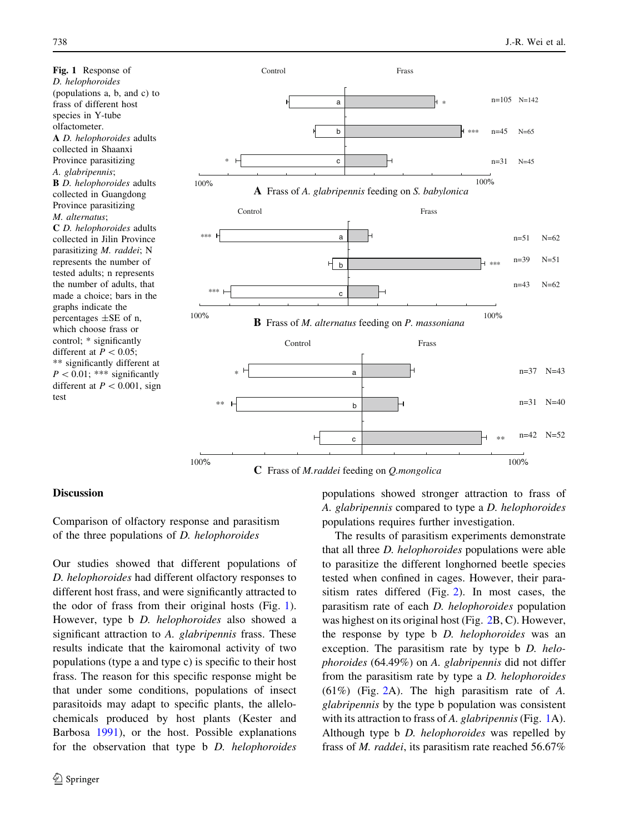<span id="page-5-0"></span>

## Discussion

Comparison of olfactory response and parasitism of the three populations of D. helophoroides

Our studies showed that different populations of D. helophoroides had different olfactory responses to different host frass, and were significantly attracted to the odor of frass from their original hosts (Fig. 1). However, type b D. helophoroides also showed a significant attraction to A. glabripennis frass. These results indicate that the kairomonal activity of two populations (type a and type c) is specific to their host frass. The reason for this specific response might be that under some conditions, populations of insect parasitoids may adapt to specific plants, the allelochemicals produced by host plants (Kester and Barbosa [1991](#page-8-0)), or the host. Possible explanations for the observation that type b D. helophoroides

populations showed stronger attraction to frass of A. glabripennis compared to type a D. helophoroides populations requires further investigation.

The results of parasitism experiments demonstrate that all three D. helophoroides populations were able to parasitize the different longhorned beetle species tested when confined in cages. However, their parasitism rates differed (Fig. [2\)](#page-6-0). In most cases, the parasitism rate of each D. helophoroides population was highest on its original host (Fig. [2B](#page-6-0), C). However, the response by type b D. helophoroides was an exception. The parasitism rate by type b D. helophoroides (64.49%) on A. glabripennis did not differ from the parasitism rate by type a D. helophoroides  $(61\%)$  (Fig. [2](#page-6-0)A). The high parasitism rate of A. glabripennis by the type b population was consistent with its attraction to frass of A. glabripennis (Fig. 1A). Although type b D. helophoroides was repelled by frass of M. raddei, its parasitism rate reached 56.67%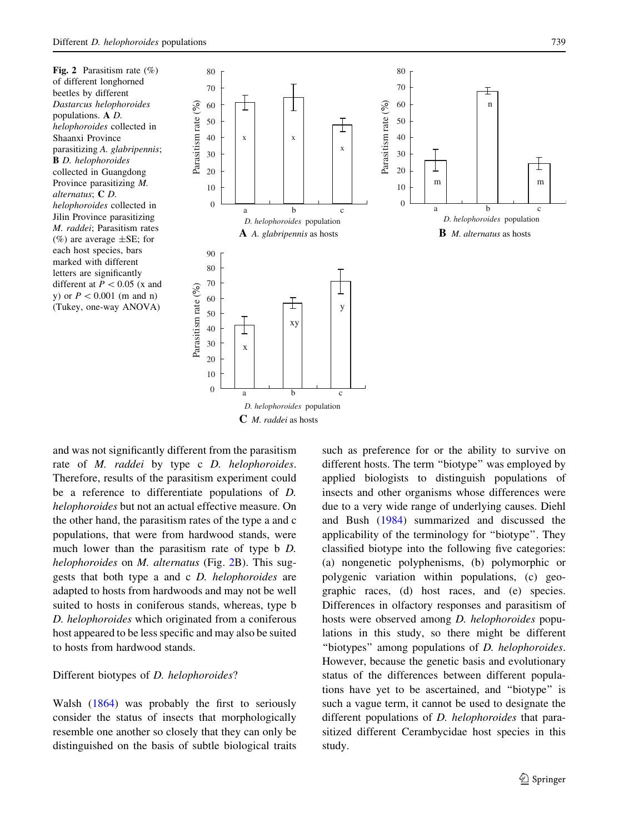<span id="page-6-0"></span>**Fig. 2** Parasitism rate  $(\%)$ of different longhorned beetles by different Dastarcus helophoroides populations. A D. helophoroides collected in Shaanxi Province parasitizing A. glabripennis; **B** *D.* helophoroides collected in Guangdong Province parasitizing M. alternatus; C D. helophoroides collected in Jilin Province parasitizing M. raddei; Parasitism rates (%) are average  $\pm$ SE; for each host species, bars marked with different letters are significantly different at  $P < 0.05$  (x and y) or  $P < 0.001$  (m and n) (Tukey, one-way ANOVA)



and was not significantly different from the parasitism rate of M. raddei by type c D. helophoroides. Therefore, results of the parasitism experiment could be a reference to differentiate populations of D. helophoroides but not an actual effective measure. On the other hand, the parasitism rates of the type a and c populations, that were from hardwood stands, were much lower than the parasitism rate of type b D. helophoroides on M. alternatus (Fig. 2B). This suggests that both type a and c D. helophoroides are adapted to hosts from hardwoods and may not be well suited to hosts in coniferous stands, whereas, type b D. helophoroides which originated from a coniferous host appeared to be less specific and may also be suited to hosts from hardwood stands.

#### Different biotypes of D. helophoroides?

Walsh [\(1864](#page-9-0)) was probably the first to seriously consider the status of insects that morphologically resemble one another so closely that they can only be distinguished on the basis of subtle biological traits such as preference for or the ability to survive on different hosts. The term ''biotype'' was employed by applied biologists to distinguish populations of insects and other organisms whose differences were due to a very wide range of underlying causes. Diehl and Bush [\(1984](#page-8-0)) summarized and discussed the applicability of the terminology for ''biotype''. They classified biotype into the following five categories: (a) nongenetic polyphenisms, (b) polymorphic or polygenic variation within populations, (c) geographic races, (d) host races, and (e) species. Differences in olfactory responses and parasitism of hosts were observed among D. helophoroides populations in this study, so there might be different ''biotypes'' among populations of D. helophoroides. However, because the genetic basis and evolutionary status of the differences between different populations have yet to be ascertained, and ''biotype'' is such a vague term, it cannot be used to designate the different populations of *D. helophoroides* that parasitized different Cerambycidae host species in this study.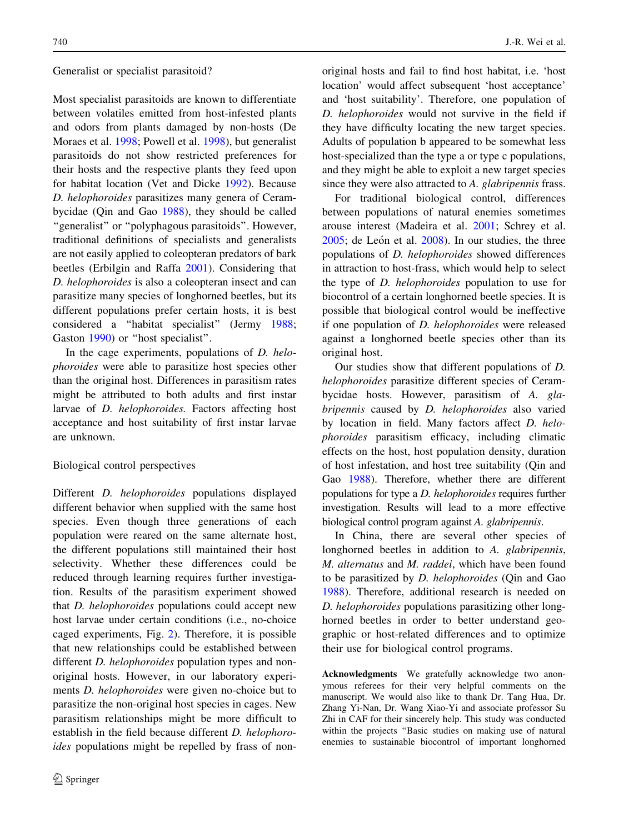#### Generalist or specialist parasitoid?

Most specialist parasitoids are known to differentiate between volatiles emitted from host-infested plants and odors from plants damaged by non-hosts (De Moraes et al. [1998](#page-8-0); Powell et al. [1998](#page-8-0)), but generalist parasitoids do not show restricted preferences for their hosts and the respective plants they feed upon for habitat location (Vet and Dicke [1992\)](#page-9-0). Because D. helophoroides parasitizes many genera of Cerambycidae (Qin and Gao [1988](#page-8-0)), they should be called "generalist" or "polyphagous parasitoids". However, traditional definitions of specialists and generalists are not easily applied to coleopteran predators of bark beetles (Erbilgin and Raffa [2001](#page-8-0)). Considering that D. helophoroides is also a coleopteran insect and can parasitize many species of longhorned beetles, but its different populations prefer certain hosts, it is best considered a ''habitat specialist'' (Jermy [1988](#page-8-0); Gaston [1990](#page-8-0)) or "host specialist".

In the cage experiments, populations of D. helophoroides were able to parasitize host species other than the original host. Differences in parasitism rates might be attributed to both adults and first instar larvae of D. helophoroides. Factors affecting host acceptance and host suitability of first instar larvae are unknown.

## Biological control perspectives

Different D. helophoroides populations displayed different behavior when supplied with the same host species. Even though three generations of each population were reared on the same alternate host, the different populations still maintained their host selectivity. Whether these differences could be reduced through learning requires further investigation. Results of the parasitism experiment showed that D. helophoroides populations could accept new host larvae under certain conditions (i.e., no-choice caged experiments, Fig. [2\)](#page-6-0). Therefore, it is possible that new relationships could be established between different *D. helophoroides* population types and nonoriginal hosts. However, in our laboratory experiments *D. helophoroides* were given no-choice but to parasitize the non-original host species in cages. New parasitism relationships might be more difficult to establish in the field because different D. helophoroides populations might be repelled by frass of nonoriginal hosts and fail to find host habitat, i.e. 'host location' would affect subsequent 'host acceptance' and 'host suitability'. Therefore, one population of D. helophoroides would not survive in the field if they have difficulty locating the new target species. Adults of population b appeared to be somewhat less host-specialized than the type a or type c populations, and they might be able to exploit a new target species since they were also attracted to A. glabripennis frass.

For traditional biological control, differences between populations of natural enemies sometimes arouse interest (Madeira et al. [2001](#page-8-0); Schrey et al.  $2005$ ; de León et al.  $2008$ ). In our studies, the three populations of D. helophoroides showed differences in attraction to host-frass, which would help to select the type of D. helophoroides population to use for biocontrol of a certain longhorned beetle species. It is possible that biological control would be ineffective if one population of D. helophoroides were released against a longhorned beetle species other than its original host.

Our studies show that different populations of D. helophoroides parasitize different species of Cerambycidae hosts. However, parasitism of A. glabripennis caused by D. helophoroides also varied by location in field. Many factors affect D. helophoroides parasitism efficacy, including climatic effects on the host, host population density, duration of host infestation, and host tree suitability (Qin and Gao [1988\)](#page-8-0). Therefore, whether there are different populations for type a D. helophoroides requires further investigation. Results will lead to a more effective biological control program against A. glabripennis.

In China, there are several other species of longhorned beetles in addition to A. glabripennis, M. alternatus and M. raddei, which have been found to be parasitized by D. helophoroides (Qin and Gao [1988\)](#page-8-0). Therefore, additional research is needed on D. helophoroides populations parasitizing other longhorned beetles in order to better understand geographic or host-related differences and to optimize their use for biological control programs.

Acknowledgments We gratefully acknowledge two anonymous referees for their very helpful comments on the manuscript. We would also like to thank Dr. Tang Hua, Dr. Zhang Yi-Nan, Dr. Wang Xiao-Yi and associate professor Su Zhi in CAF for their sincerely help. This study was conducted within the projects ''Basic studies on making use of natural enemies to sustainable biocontrol of important longhorned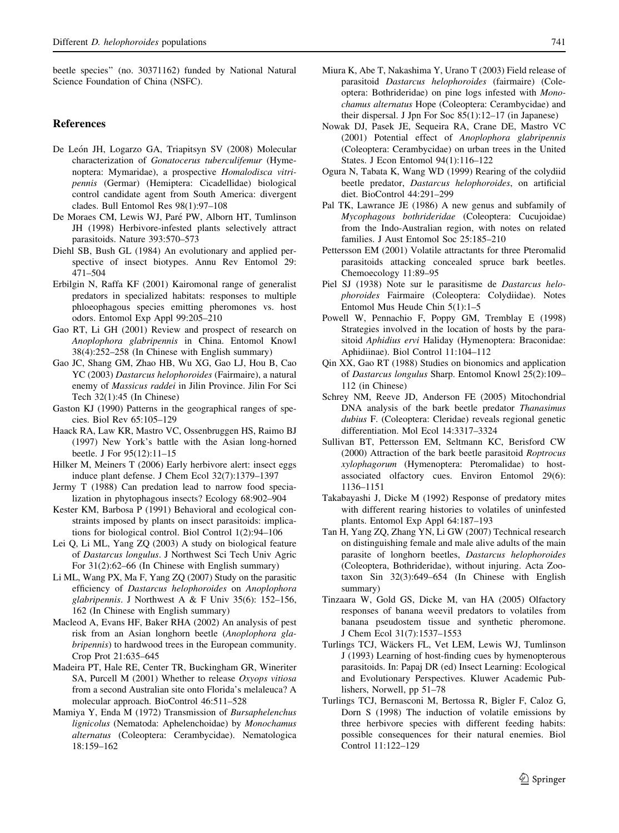<span id="page-8-0"></span>beetle species'' (no. 30371162) funded by National Natural Science Foundation of China (NSFC).

## References

- De León JH, Logarzo GA, Triapitsyn SV (2008) Molecular characterization of Gonatocerus tuberculifemur (Hymenoptera: Mymaridae), a prospective Homalodisca vitripennis (Germar) (Hemiptera: Cicadellidae) biological control candidate agent from South America: divergent clades. Bull Entomol Res 98(1):97–108
- De Moraes CM, Lewis WJ, Paré PW, Alborn HT, Tumlinson JH (1998) Herbivore-infested plants selectively attract parasitoids. Nature 393:570–573
- Diehl SB, Bush GL (1984) An evolutionary and applied perspective of insect biotypes. Annu Rev Entomol 29: 471–504
- Erbilgin N, Raffa KF (2001) Kairomonal range of generalist predators in specialized habitats: responses to multiple phloeophagous species emitting pheromones vs. host odors. Entomol Exp Appl 99:205–210
- Gao RT, Li GH (2001) Review and prospect of research on Anoplophora glabripennis in China. Entomol Knowl 38(4):252–258 (In Chinese with English summary)
- Gao JC, Shang GM, Zhao HB, Wu XG, Gao LJ, Hou B, Cao YC (2003) Dastarcus helophoroides (Fairmaire), a natural enemy of Massicus raddei in Jilin Province. Jilin For Sci Tech 32(1):45 (In Chinese)
- Gaston KJ (1990) Patterns in the geographical ranges of species. Biol Rev 65:105–129
- Haack RA, Law KR, Mastro VC, Ossenbruggen HS, Raimo BJ (1997) New York's battle with the Asian long-horned beetle. J For 95(12):11–15
- Hilker M, Meiners T (2006) Early herbivore alert: insect eggs induce plant defense. J Chem Ecol 32(7):1379–1397
- Jermy T (1988) Can predation lead to narrow food specialization in phytophagous insects? Ecology 68:902–904
- Kester KM, Barbosa P (1991) Behavioral and ecological constraints imposed by plants on insect parasitoids: implications for biological control. Biol Control 1(2):94–106
- Lei Q, Li ML, Yang ZQ (2003) A study on biological feature of Dastarcus longulus. J Northwest Sci Tech Univ Agric For 31(2):62–66 (In Chinese with English summary)
- Li ML, Wang PX, Ma F, Yang ZQ (2007) Study on the parasitic efficiency of Dastarcus helophoroides on Anoplophora glabripennis. J Northwest A & F Univ 35(6): 152–156, 162 (In Chinese with English summary)
- Macleod A, Evans HF, Baker RHA (2002) An analysis of pest risk from an Asian longhorn beetle (Anoplophora glabripennis) to hardwood trees in the European community. Crop Prot 21:635–645
- Madeira PT, Hale RE, Center TR, Buckingham GR, Wineriter SA, Purcell M (2001) Whether to release Oxyops vitiosa from a second Australian site onto Florida's melaleuca? A molecular approach. BioControl 46:511–528
- Mamiya Y, Enda M (1972) Transmission of Bursaphelenchus lignicolus (Nematoda: Aphelenchoidae) by Monochamus alternatus (Coleoptera: Cerambycidae). Nematologica 18:159–162
- 
- Miura K, Abe T, Nakashima Y, Urano T (2003) Field release of parasitoid Dastarcus helophoroides (fairmaire) (Coleoptera: Bothrideridae) on pine logs infested with Monochamus alternatus Hope (Coleoptera: Cerambycidae) and their dispersal. J Jpn For Soc 85(1):12–17 (in Japanese)
- Nowak DJ, Pasek JE, Sequeira RA, Crane DE, Mastro VC (2001) Potential effect of Anoplophora glabripennis (Coleoptera: Cerambycidae) on urban trees in the United States. J Econ Entomol 94(1):116–122
- Ogura N, Tabata K, Wang WD (1999) Rearing of the colydiid beetle predator, Dastarcus helophoroides, on artificial diet. BioControl 44:291–299
- Pal TK, Lawrance JE (1986) A new genus and subfamily of Mycophagous bothrideridae (Coleoptera: Cucujoidae) from the Indo-Australian region, with notes on related families. J Aust Entomol Soc 25:185–210
- Pettersson EM (2001) Volatile attractants for three Pteromalid parasitoids attacking concealed spruce bark beetles. Chemoecology 11:89–95
- Piel SJ (1938) Note sur le parasitisme de Dastarcus helophoroides Fairmaire (Coleoptera: Colydiidae). Notes Entomol Mus Heude Chin 5(1):1–5
- Powell W, Pennachio F, Poppy GM, Tremblay E (1998) Strategies involved in the location of hosts by the parasitoid Aphidius ervi Haliday (Hymenoptera: Braconidae: Aphidiinae). Biol Control 11:104–112
- Qin XX, Gao RT (1988) Studies on bionomics and application of Dastarcus longulus Sharp. Entomol Knowl 25(2):109– 112 (in Chinese)
- Schrey NM, Reeve JD, Anderson FE (2005) Mitochondrial DNA analysis of the bark beetle predator Thanasimus dubius F. (Coleoptera: Cleridae) reveals regional genetic differentiation. Mol Ecol 14:3317–3324
- Sullivan BT, Pettersson EM, Seltmann KC, Berisford CW (2000) Attraction of the bark beetle parasitoid Roptrocus xylophagorum (Hymenoptera: Pteromalidae) to hostassociated olfactory cues. Environ Entomol 29(6): 1136–1151
- Takabayashi J, Dicke M (1992) Response of predatory mites with different rearing histories to volatiles of uninfested plants. Entomol Exp Appl 64:187–193
- Tan H, Yang ZQ, Zhang YN, Li GW (2007) Technical research on distinguishing female and male alive adults of the main parasite of longhorn beetles, Dastarcus helophoroides (Coleoptera, Bothrideridae), without injuring. Acta Zootaxon Sin 32(3):649–654 (In Chinese with English summary)
- Tinzaara W, Gold GS, Dicke M, van HA (2005) Olfactory responses of banana weevil predators to volatiles from banana pseudostem tissue and synthetic pheromone. J Chem Ecol 31(7):1537–1553
- Turlings TCJ, Wäckers FL, Vet LEM, Lewis WJ, Tumlinson J (1993) Learning of host-finding cues by hymenopterous parasitoids. In: Papaj DR (ed) Insect Learning: Ecological and Evolutionary Perspectives. Kluwer Academic Publishers, Norwell, pp 51–78
- Turlings TCJ, Bernasconi M, Bertossa R, Bigler F, Caloz G, Dorn S (1998) The induction of volatile emissions by three herbivore species with different feeding habits: possible consequences for their natural enemies. Biol Control 11:122–129